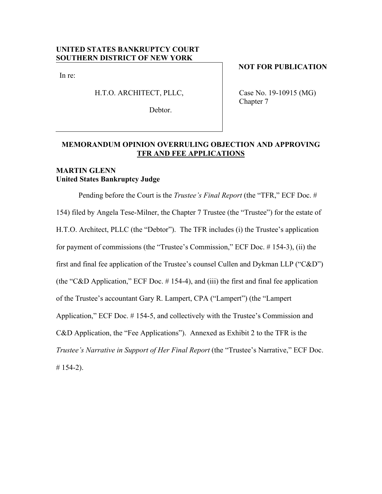## **UNITED STATES BANKRUPTCY COURT SOUTHERN DISTRICT OF NEW YORK**

In re:

H.T.O. ARCHITECT, PLLC,

Debtor.

**NOT FOR PUBLICATION** 

Case No. 19-10915 (MG) Chapter 7

## **MEMORANDUM OPINION OVERRULING OBJECTION AND APPROVING TFR AND FEE APPLICATIONS**

## **MARTIN GLENN United States Bankruptcy Judge**

Pending before the Court is the *Trustee's Final Report* (the "TFR," ECF Doc. # 154) filed by Angela Tese-Milner, the Chapter 7 Trustee (the "Trustee") for the estate of H.T.O. Architect, PLLC (the "Debtor"). The TFR includes (i) the Trustee's application for payment of commissions (the "Trustee's Commission," ECF Doc. # 154-3), (ii) the first and final fee application of the Trustee's counsel Cullen and Dykman LLP ("C&D") (the "C&D Application," ECF Doc.  $# 154-4$ ), and (iii) the first and final fee application of the Trustee's accountant Gary R. Lampert, CPA ("Lampert") (the "Lampert Application," ECF Doc. # 154-5, and collectively with the Trustee's Commission and C&D Application, the "Fee Applications"). Annexed as Exhibit 2 to the TFR is the *Trustee's Narrative in Support of Her Final Report* (the "Trustee's Narrative," ECF Doc.  $# 154-2$ ).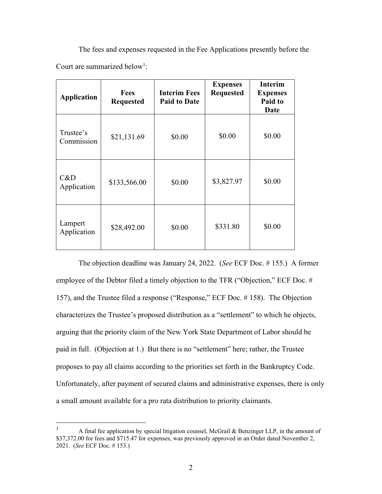The fees and expenses requested in the Fee Applications presently before the Court are summarized below<sup>1</sup>:

| <b>Application</b>      | <b>Fees</b><br><b>Requested</b> | <b>Interim Fees</b><br><b>Paid to Date</b> | <b>Expenses</b><br><b>Requested</b> | <b>Interim</b><br><b>Expenses</b><br>Paid to<br><b>Date</b> |
|-------------------------|---------------------------------|--------------------------------------------|-------------------------------------|-------------------------------------------------------------|
| Trustee's<br>Commission | \$21,131.69                     | \$0.00                                     | \$0.00                              | \$0.00                                                      |
| C&D<br>Application      | \$133,566.00                    | \$0.00                                     | \$3,827.97                          | \$0.00                                                      |
| Lampert<br>Application  | \$28,492.00                     | \$0.00                                     | \$331.80                            | \$0.00                                                      |

The objection deadline was January 24, 2022. (*See* ECF Doc. # 155.) A former employee of the Debtor filed a timely objection to the TFR ("Objection," ECF Doc. # 157), and the Trustee filed a response ("Response," ECF Doc. # 158). The Objection characterizes the Trustee's proposed distribution as a "settlement" to which he objects, arguing that the priority claim of the New York State Department of Labor should be paid in full. (Objection at 1.) But there is no "settlement" here; rather, the Trustee proposes to pay all claims according to the priorities set forth in the Bankruptcy Code. Unfortunately, after payment of secured claims and administrative expenses, there is only a small amount available for a pro rata distribution to priority claimants.

<sup>1</sup> A final fee application by special litigation counsel, McGrail & Benzinger LLP, in the amount of \$37,372.00 for fees and \$715.47 for expenses, was previously approved in an Order dated November 2, 2021. (*See* ECF Doc. # 153.)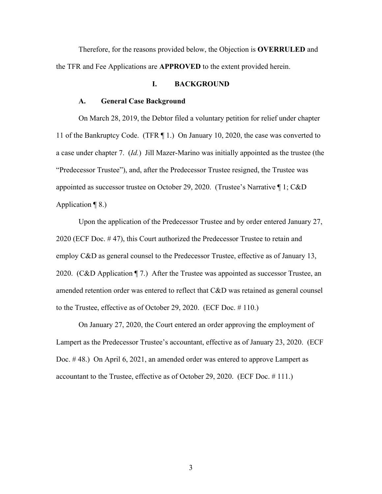Therefore, for the reasons provided below, the Objection is **OVERRULED** and the TFR and Fee Applications are **APPROVED** to the extent provided herein.

## **I. BACKGROUND**

#### **A. General Case Background**

On March 28, 2019, the Debtor filed a voluntary petition for relief under chapter 11 of the Bankruptcy Code. (TFR ¶ 1.) On January 10, 2020, the case was converted to a case under chapter 7. (*Id.*) Jill Mazer-Marino was initially appointed as the trustee (the "Predecessor Trustee"), and, after the Predecessor Trustee resigned, the Trustee was appointed as successor trustee on October 29, 2020. (Trustee's Narrative ¶ 1; C&D Application  $\P$  8.)

Upon the application of the Predecessor Trustee and by order entered January 27, 2020 (ECF Doc. # 47), this Court authorized the Predecessor Trustee to retain and employ C&D as general counsel to the Predecessor Trustee, effective as of January 13, 2020. (C&D Application ¶ 7.) After the Trustee was appointed as successor Trustee, an amended retention order was entered to reflect that C&D was retained as general counsel to the Trustee, effective as of October 29, 2020. (ECF Doc. # 110.)

On January 27, 2020, the Court entered an order approving the employment of Lampert as the Predecessor Trustee's accountant, effective as of January 23, 2020. (ECF Doc. # 48.) On April 6, 2021, an amended order was entered to approve Lampert as accountant to the Trustee, effective as of October 29, 2020. (ECF Doc. # 111.)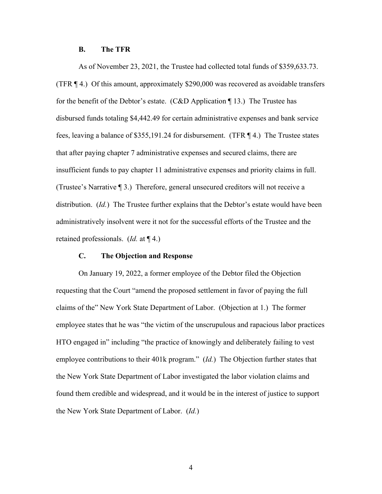### **B. The TFR**

As of November 23, 2021, the Trustee had collected total funds of \$359,633.73. (TFR ¶ 4.) Of this amount, approximately \$290,000 was recovered as avoidable transfers for the benefit of the Debtor's estate. (C&D Application ¶ 13.) The Trustee has disbursed funds totaling \$4,442.49 for certain administrative expenses and bank service fees, leaving a balance of \$355,191.24 for disbursement. (TFR ¶ 4.) The Trustee states that after paying chapter 7 administrative expenses and secured claims, there are insufficient funds to pay chapter 11 administrative expenses and priority claims in full. (Trustee's Narrative ¶ 3.) Therefore, general unsecured creditors will not receive a distribution. (*Id.*) The Trustee further explains that the Debtor's estate would have been administratively insolvent were it not for the successful efforts of the Trustee and the retained professionals. (*Id.* at ¶ 4.)

### **C. The Objection and Response**

On January 19, 2022, a former employee of the Debtor filed the Objection requesting that the Court "amend the proposed settlement in favor of paying the full claims of the" New York State Department of Labor. (Objection at 1.) The former employee states that he was "the victim of the unscrupulous and rapacious labor practices HTO engaged in" including "the practice of knowingly and deliberately failing to vest employee contributions to their 401k program." (*Id.*) The Objection further states that the New York State Department of Labor investigated the labor violation claims and found them credible and widespread, and it would be in the interest of justice to support the New York State Department of Labor. (*Id.*)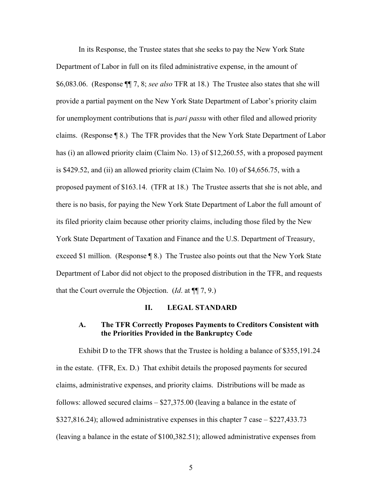In its Response, the Trustee states that she seeks to pay the New York State Department of Labor in full on its filed administrative expense, in the amount of \$6,083.06. (Response ¶¶ 7, 8; *see also* TFR at 18.) The Trustee also states that she will provide a partial payment on the New York State Department of Labor's priority claim for unemployment contributions that is *pari passu* with other filed and allowed priority claims. (Response ¶ 8.) The TFR provides that the New York State Department of Labor has (i) an allowed priority claim (Claim No. 13) of \$12,260.55, with a proposed payment is \$429.52, and (ii) an allowed priority claim (Claim No. 10) of \$4,656.75, with a proposed payment of \$163.14. (TFR at 18.) The Trustee asserts that she is not able, and there is no basis, for paying the New York State Department of Labor the full amount of its filed priority claim because other priority claims, including those filed by the New York State Department of Taxation and Finance and the U.S. Department of Treasury, exceed \$1 million. (Response  $\P$  8.) The Trustee also points out that the New York State Department of Labor did not object to the proposed distribution in the TFR, and requests that the Court overrule the Objection. (*Id*. at ¶¶ 7, 9.)

#### **II. LEGAL STANDARD**

### **A. The TFR Correctly Proposes Payments to Creditors Consistent with the Priorities Provided in the Bankruptcy Code**

Exhibit D to the TFR shows that the Trustee is holding a balance of \$355,191.24 in the estate. (TFR, Ex. D.) That exhibit details the proposed payments for secured claims, administrative expenses, and priority claims. Distributions will be made as follows: allowed secured claims – \$27,375.00 (leaving a balance in the estate of \$327,816.24); allowed administrative expenses in this chapter 7 case – \$227,433.73 (leaving a balance in the estate of \$100,382.51); allowed administrative expenses from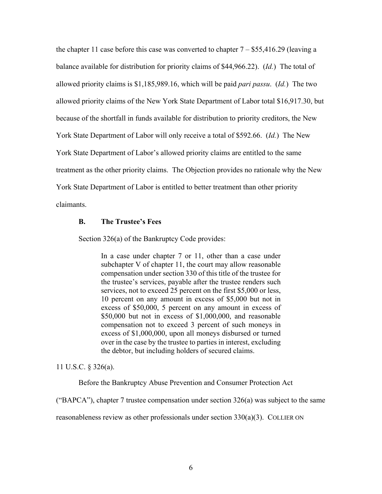the chapter 11 case before this case was converted to chapter  $7 - $55,416.29$  (leaving a balance available for distribution for priority claims of \$44,966.22). (*Id.*) The total of allowed priority claims is \$1,185,989.16, which will be paid *pari passu*. (*Id.*) The two allowed priority claims of the New York State Department of Labor total \$16,917.30, but because of the shortfall in funds available for distribution to priority creditors, the New York State Department of Labor will only receive a total of \$592.66. (*Id.*) The New York State Department of Labor's allowed priority claims are entitled to the same treatment as the other priority claims. The Objection provides no rationale why the New York State Department of Labor is entitled to better treatment than other priority claimants.

#### **B. The Trustee's Fees**

Section 326(a) of the Bankruptcy Code provides:

In a case under chapter 7 or 11, other than a case under subchapter V of chapter 11, the court may allow reasonable compensation under section 330 of this title of the trustee for the trustee's services, payable after the trustee renders such services, not to exceed 25 percent on the first \$5,000 or less, 10 percent on any amount in excess of \$5,000 but not in excess of \$50,000, 5 percent on any amount in excess of \$50,000 but not in excess of \$1,000,000, and reasonable compensation not to exceed 3 percent of such moneys in excess of \$1,000,000, upon all moneys disbursed or turned over in the case by the trustee to parties in interest, excluding the debtor, but including holders of secured claims.

11 U.S.C. § 326(a).

Before the Bankruptcy Abuse Prevention and Consumer Protection Act

("BAPCA"), chapter 7 trustee compensation under section  $326(a)$  was subject to the same

reasonableness review as other professionals under section 330(a)(3). COLLIER ON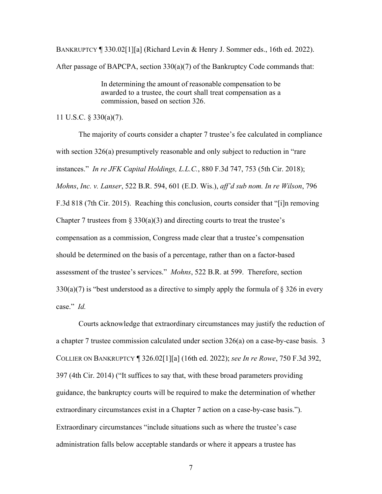BANKRUPTCY ¶ 330.02[1][a] (Richard Levin & Henry J. Sommer eds., 16th ed. 2022). After passage of BAPCPA, section 330(a)(7) of the Bankruptcy Code commands that:

> In determining the amount of reasonable compensation to be awarded to a trustee, the court shall treat compensation as a commission, based on section 326.

11 U.S.C. § 330(a)(7).

The majority of courts consider a chapter 7 trustee's fee calculated in compliance with section 326(a) presumptively reasonable and only subject to reduction in "rare" instances." *In re JFK Capital Holdings, L.L.C.*, 880 F.3d 747, 753 (5th Cir. 2018); *Mohns*, *Inc. v. Lanser*, 522 B.R. 594, 601 (E.D. Wis.), *aff'd sub nom. In re Wilson*, 796 F.3d 818 (7th Cir. 2015). Reaching this conclusion, courts consider that "[i]n removing Chapter 7 trustees from  $\S 330(a)(3)$  and directing courts to treat the trustee's compensation as a commission, Congress made clear that a trustee's compensation should be determined on the basis of a percentage, rather than on a factor-based assessment of the trustee's services." *Mohns*, 522 B.R. at 599. Therefore, section  $330(a)(7)$  is "best understood as a directive to simply apply the formula of § 326 in every case." *Id.*

Courts acknowledge that extraordinary circumstances may justify the reduction of a chapter 7 trustee commission calculated under section 326(a) on a case-by-case basis. 3 COLLIER ON BANKRUPTCY ¶ 326.02[1][a] (16th ed. 2022); *see In re Rowe*, 750 F.3d 392, 397 (4th Cir. 2014) ("It suffices to say that, with these broad parameters providing guidance, the bankruptcy courts will be required to make the determination of whether extraordinary circumstances exist in a Chapter 7 action on a case-by-case basis."). Extraordinary circumstances "include situations such as where the trustee's case administration falls below acceptable standards or where it appears a trustee has

7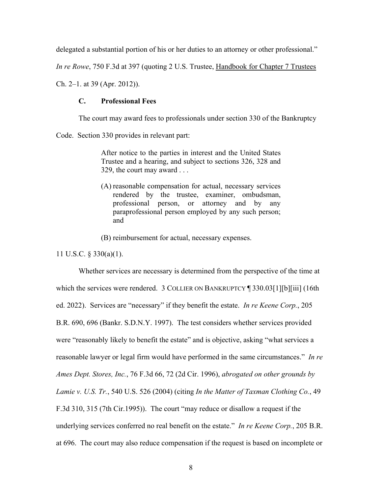delegated a substantial portion of his or her duties to an attorney or other professional."

*In re Rowe*, 750 F.3d at 397 (quoting 2 U.S. Trustee, Handbook for Chapter 7 Trustees

Ch. 2–1. at 39 (Apr. 2012)).

#### **C. Professional Fees**

The court may award fees to professionals under section 330 of the Bankruptcy

Code. Section 330 provides in relevant part:

After notice to the parties in interest and the United States Trustee and a hearing, and subject to sections 326, 328 and 329, the court may award . . .

(A) reasonable compensation for actual, necessary services rendered by the trustee, examiner, ombudsman, professional person, or attorney and by any paraprofessional person employed by any such person; and

(B) reimbursement for actual, necessary expenses.

11 U.S.C. § 330(a)(1).

Whether services are necessary is determined from the perspective of the time at which the services were rendered. 3 COLLIER ON BANKRUPTCY [330.03[1][b][iii] (16th ed. 2022). Services are "necessary" if they benefit the estate. *In re Keene Corp.*, 205 B.R. 690, 696 (Bankr. S.D.N.Y. 1997). The test considers whether services provided were "reasonably likely to benefit the estate" and is objective, asking "what services a reasonable lawyer or legal firm would have performed in the same circumstances." *In re Ames Dept. Stores, Inc.*, 76 F.3d 66, 72 (2d Cir. 1996), *abrogated on other grounds by Lamie v. U.S. Tr.*, 540 U.S. 526 (2004) (citing *In the Matter of Taxman Clothing Co.*, 49 F.3d 310, 315 (7th Cir.1995)). The court "may reduce or disallow a request if the underlying services conferred no real benefit on the estate." *In re Keene Corp.*, 205 B.R. at 696. The court may also reduce compensation if the request is based on incomplete or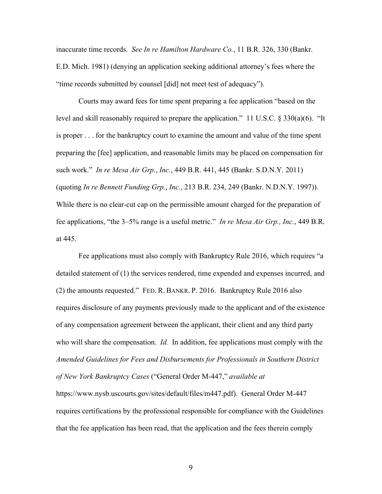inaccurate time records. *See In re Hamilton Hardware Co.*, 11 B.R. 326, 330 (Bankr. E.D. Mich. 1981) (denying an application seeking additional attorney's fees where the "time records submitted by counsel [did] not meet test of adequacy").

Courts may award fees for time spent preparing a fee application "based on the level and skill reasonably required to prepare the application." 11 U.S.C. § 330(a)(6). "It is proper . . . for the bankruptcy court to examine the amount and value of the time spent preparing the [fee] application, and reasonable limits may be placed on compensation for such work." *In re Mesa Air Grp.*, *Inc.*, 449 B.R. 441, 445 (Bankr. S.D.N.Y. 2011) (quoting *In re Bennett Funding Grp.*, *Inc.*, 213 B.R. 234, 249 (Bankr. N.D.N.Y. 1997)). While there is no clear-cut cap on the permissible amount charged for the preparation of fee applications, "the 3–5% range is a useful metric." *In re Mesa Air Grp., Inc.*, 449 B.R. at 445.

Fee applications must also comply with Bankruptcy Rule 2016, which requires "a detailed statement of (1) the services rendered, time expended and expenses incurred, and (2) the amounts requested." FED. R. BANKR. P. 2016. Bankruptcy Rule 2016 also requires disclosure of any payments previously made to the applicant and of the existence of any compensation agreement between the applicant, their client and any third party who will share the compensation. *Id.* In addition, fee applications must comply with the *Amended Guidelines for Fees and Disbursements for Professionals in Southern District of New York Bankruptcy Cases* ("General Order M-447," *available at* https://www.nysb.uscourts.gov/sites/default/files/m447.pdf). General Order M-447 requires certifications by the professional responsible for compliance with the Guidelines that the fee application has been read, that the application and the fees therein comply

9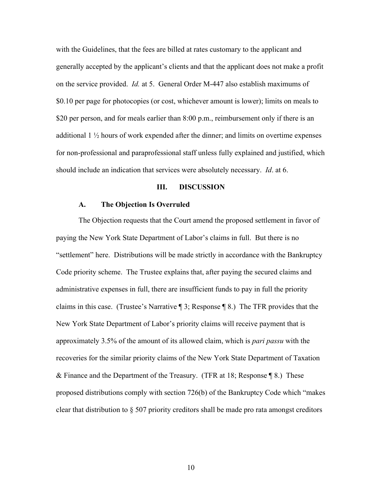with the Guidelines, that the fees are billed at rates customary to the applicant and generally accepted by the applicant's clients and that the applicant does not make a profit on the service provided. *Id.* at 5. General Order M-447 also establish maximums of \$0.10 per page for photocopies (or cost, whichever amount is lower); limits on meals to \$20 per person, and for meals earlier than 8:00 p.m., reimbursement only if there is an additional  $1 \frac{1}{2}$  hours of work expended after the dinner; and limits on overtime expenses for non-professional and paraprofessional staff unless fully explained and justified, which should include an indication that services were absolutely necessary. *Id*. at 6.

#### **III. DISCUSSION**

### **A. The Objection Is Overruled**

The Objection requests that the Court amend the proposed settlement in favor of paying the New York State Department of Labor's claims in full. But there is no "settlement" here. Distributions will be made strictly in accordance with the Bankruptcy Code priority scheme. The Trustee explains that, after paying the secured claims and administrative expenses in full, there are insufficient funds to pay in full the priority claims in this case. (Trustee's Narrative ¶ 3; Response ¶ 8.) The TFR provides that the New York State Department of Labor's priority claims will receive payment that is approximately 3.5% of the amount of its allowed claim, which is *pari passu* with the recoveries for the similar priority claims of the New York State Department of Taxation & Finance and the Department of the Treasury. (TFR at 18; Response ¶ 8.) These proposed distributions comply with section 726(b) of the Bankruptcy Code which "makes clear that distribution to § 507 priority creditors shall be made pro rata amongst creditors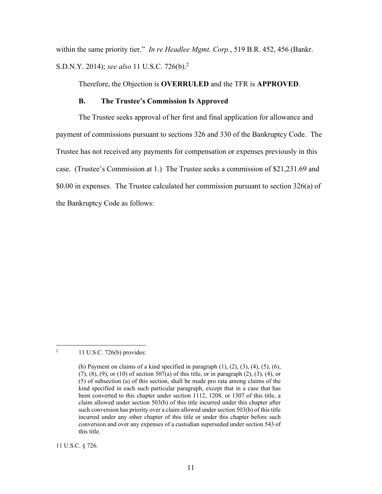within the same priority tier." *In re Headlee Mgmt. Corp.*, 519 B.R. 452, 456 (Bankr. S.D.N.Y. 2014); *see also* 11 U.S.C. 726(b).2

Therefore, the Objection is **OVERRULED** and the TFR is **APPROVED**.

#### **B. The Trustee's Commission Is Approved**

The Trustee seeks approval of her first and final application for allowance and payment of commissions pursuant to sections 326 and 330 of the Bankruptcy Code. The Trustee has not received any payments for compensation or expenses previously in this case. (Trustee's Commission at 1.) The Trustee seeks a commission of \$21,231.69 and \$0.00 in expenses. The Trustee calculated her commission pursuant to section 326(a) of the Bankruptcy Code as follows:

2 11 U.S.C. 726(b) provides:

11 U.S.C. § 726.

<sup>(</sup>b) Payment on claims of a kind specified in paragraph  $(1)$ ,  $(2)$ ,  $(3)$ ,  $(4)$ ,  $(5)$ ,  $(6)$ , (7), (8), (9), or (10) of section 507(a) of this title, or in paragraph (2), (3), (4), or (5) of subsection (a) of this section, shall be made pro rata among claims of the kind specified in each such particular paragraph, except that in a case that has been converted to this chapter under section 1112, 1208, or 1307 of this title, a claim allowed under section 503(b) of this title incurred under this chapter after such conversion has priority over a claim allowed under section 503(b) of this title incurred under any other chapter of this title or under this chapter before such conversion and over any expenses of a custodian superseded under section 543 of this title.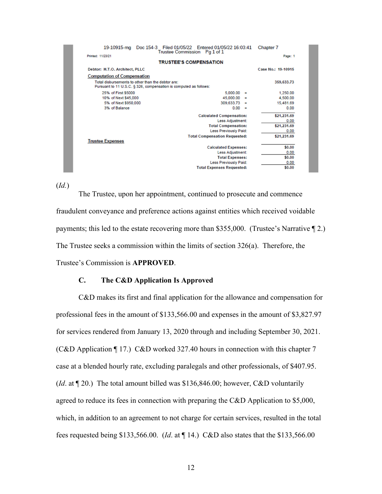| 19-10915-mg                        | Doc 154-3 Filed 01/05/22 Entered 01/05/22 16:03:41                                                                     |                                      |          | Chapter 7   |
|------------------------------------|------------------------------------------------------------------------------------------------------------------------|--------------------------------------|----------|-------------|
| Printed: 11/23/21                  | Trustee Commission  Pq 1 of 1                                                                                          |                                      |          | Page: 1     |
|                                    | <b>TRUSTEE'S COMPENSATION</b>                                                                                          |                                      |          |             |
| Debtor: H.T.O. Architect, PLLC     | Case No.: 19-10915                                                                                                     |                                      |          |             |
| <b>Computation of Compensation</b> |                                                                                                                        |                                      |          |             |
|                                    | Total disbursements to other than the debtor are:<br>Pursuant to 11 U.S.C. § 326, compensation is computed as follows: |                                      |          | 359,633.73  |
| 25% of First \$5000                |                                                                                                                        | 5,000,00                             | Ξ        | 1.250.00    |
| 10% of Next \$45,000               |                                                                                                                        | 45,000.00                            | ≕        | 4,500.00    |
| 5% of Next \$950,000               |                                                                                                                        | 309,633.73                           | ⊟        | 15,481.69   |
| 3% of Balance                      |                                                                                                                        | 0.00                                 | $\equiv$ | 0.00        |
|                                    |                                                                                                                        | <b>Calculated Compensation:</b>      |          | \$21,231.69 |
|                                    | 0.00                                                                                                                   |                                      |          |             |
|                                    | \$21,231.69                                                                                                            |                                      |          |             |
|                                    | 0.00                                                                                                                   |                                      |          |             |
|                                    |                                                                                                                        | <b>Total Compensation Requested:</b> |          | \$21,231.69 |
| <b>Trustee Expenses</b>            |                                                                                                                        |                                      |          |             |
|                                    |                                                                                                                        | <b>Calculated Expenses:</b>          |          | \$0.00      |
|                                    |                                                                                                                        | Less Adjustment:                     |          | 0.00        |
|                                    |                                                                                                                        | <b>Total Expenses:</b>               |          | \$0.00      |
|                                    |                                                                                                                        | <b>Less Previously Paid:</b>         |          | 0.00        |
|                                    |                                                                                                                        | <b>Total Expenses Requested:</b>     |          | \$0.00      |

(*Id.*)

The Trustee, upon her appointment, continued to prosecute and commence fraudulent conveyance and preference actions against entities which received voidable payments; this led to the estate recovering more than \$355,000. (Trustee's Narrative ¶ 2.) The Trustee seeks a commission within the limits of section 326(a). Therefore, the Trustee's Commission is **APPROVED**.

### **C. The C&D Application Is Approved**

C&D makes its first and final application for the allowance and compensation for professional fees in the amount of \$133,566.00 and expenses in the amount of \$3,827.97 for services rendered from January 13, 2020 through and including September 30, 2021. (C&D Application ¶ 17.) C&D worked 327.40 hours in connection with this chapter 7 case at a blended hourly rate, excluding paralegals and other professionals, of \$407.95. (*Id*. at ¶ 20.) The total amount billed was \$136,846.00; however, C&D voluntarily agreed to reduce its fees in connection with preparing the C&D Application to \$5,000, which, in addition to an agreement to not charge for certain services, resulted in the total fees requested being \$133,566.00. (*Id*. at ¶ 14.) C&D also states that the \$133,566.00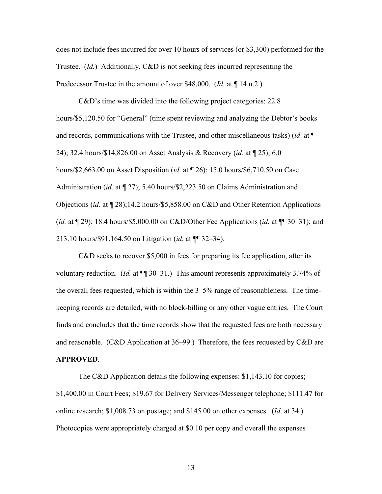does not include fees incurred for over 10 hours of services (or \$3,300) performed for the Trustee. (*Id.*) Additionally, C&D is not seeking fees incurred representing the Predecessor Trustee in the amount of over \$48,000. (*Id.* at ¶ 14 n.2.)

C&D's time was divided into the following project categories: 22.8 hours/\$5,120.50 for "General" (time spent reviewing and analyzing the Debtor's books and records, communications with the Trustee, and other miscellaneous tasks) (*id*. at ¶ 24); 32.4 hours/\$14,826.00 on Asset Analysis & Recovery (*id.* at ¶ 25); 6.0 hours/\$2,663.00 on Asset Disposition (*id.* at ¶ 26); 15.0 hours/\$6,710.50 on Case Administration (*id.* at ¶ 27); 5.40 hours/\$2,223.50 on Claims Administration and Objections (*id.* at ¶ 28);14.2 hours/\$5,858.00 on C&D and Other Retention Applications (*id.* at ¶ 29); 18.4 hours/\$5,000.00 on C&D/Other Fee Applications (*id.* at ¶¶ 30–31); and 213.10 hours/\$91,164.50 on Litigation (*id.* at ¶¶ 32–34).

C&D seeks to recover \$5,000 in fees for preparing its fee application, after its voluntary reduction. (*Id.* at  $\P$  30–31.) This amount represents approximately 3.74% of the overall fees requested, which is within the 3–5% range of reasonableness. The timekeeping records are detailed, with no block-billing or any other vague entries. The Court finds and concludes that the time records show that the requested fees are both necessary and reasonable. (C&D Application at 36–99.) Therefore, the fees requested by C&D are **APPROVED**.

The C&D Application details the following expenses: \$1,143.10 for copies; \$1,400.00 in Court Fees; \$19.67 for Delivery Services/Messenger telephone; \$111.47 for online research; \$1,008.73 on postage; and \$145.00 on other expenses. (*Id*. at 34.) Photocopies were appropriately charged at \$0.10 per copy and overall the expenses

13